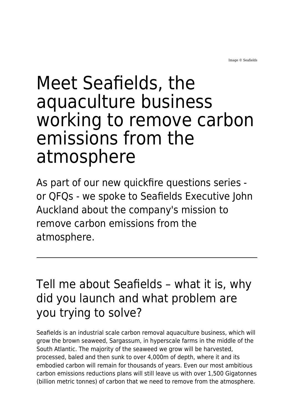Image © Seafields

# Meet Seafields, the aquaculture business working to remove carbon emissions from the atmosphere

As part of our new quickfire questions series or QFQs - we spoke to Seafields Executive John Auckland about the company's mission to remove carbon emissions from the atmosphere.

# Tell me about Seafields – what it is, why did you launch and what problem are you trying to solve?

Seafields is an industrial scale carbon removal aquaculture business, which will grow the brown seaweed, Sargassum, in hyperscale farms in the middle of the South Atlantic. The majority of the seaweed we grow will be harvested, processed, baled and then sunk to over 4,000m of depth, where it and its embodied carbon will remain for thousands of years. Even our most ambitious carbon emissions reductions plans will still leave us with over 1,500 Gigatonnes (billion metric tonnes) of carbon that we need to remove from the atmosphere.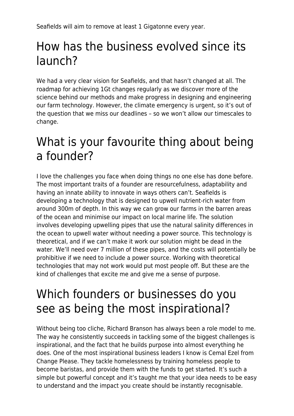Seafields will aim to remove at least 1 Gigatonne every year.

## How has the business evolved since its launch?

We had a very clear vision for Seafields, and that hasn't changed at all. The roadmap for achieving 1Gt changes regularly as we discover more of the science behind our methods and make progress in designing and engineering our farm technology. However, the climate emergency is urgent, so it's out of the question that we miss our deadlines – so we won't allow our timescales to change.

#### What is your favourite thing about being a founder?

I love the challenges you face when doing things no one else has done before. The most important traits of a founder are resourcefulness, adaptability and having an innate ability to innovate in ways others can't. Seafields is developing a technology that is designed to upwell nutrient-rich water from around 300m of depth. In this way we can grow our farms in the barren areas of the ocean and minimise our impact on local marine life. The solution involves developing upwelling pipes that use the natural salinity differences in the ocean to upwell water without needing a power source. This technology is theoretical, and if we can't make it work our solution might be dead in the water. We'll need over 7 million of these pipes, and the costs will potentially be prohibitive if we need to include a power source. Working with theoretical technologies that may not work would put most people off. But these are the kind of challenges that excite me and give me a sense of purpose.

### Which founders or businesses do you see as being the most inspirational?

Without being too cliche, Richard Branson has always been a role model to me. The way he consistently succeeds in tackling some of the biggest challenges is inspirational, and the fact that he builds purpose into almost everything he does. One of the most inspirational business leaders I know is Cemal Ezel from Change Please. They tackle homelessness by training homeless people to become baristas, and provide them with the funds to get started. It's such a simple but powerful concept and it's taught me that your idea needs to be easy to understand and the impact you create should be instantly recognisable.